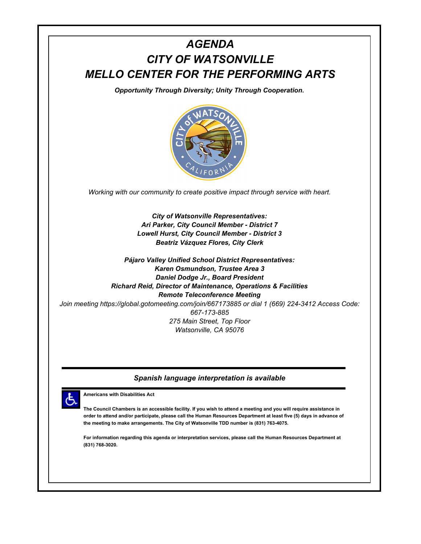

## *Spanish language interpretation is available*



**Americans with Disabilities Act**

**The Council Chambers is an accessible facility. If you wish to attend a meeting and you will require assistance in order to attend and/or participate, please call the Human Resources Department at least five (5) days in advance of the meeting to make arrangements. The City of Watsonville TDD number is (831) 763-4075.**

**For information regarding this agenda or interpretation services, please call the Human Resources Department at (831) 768-3020.**